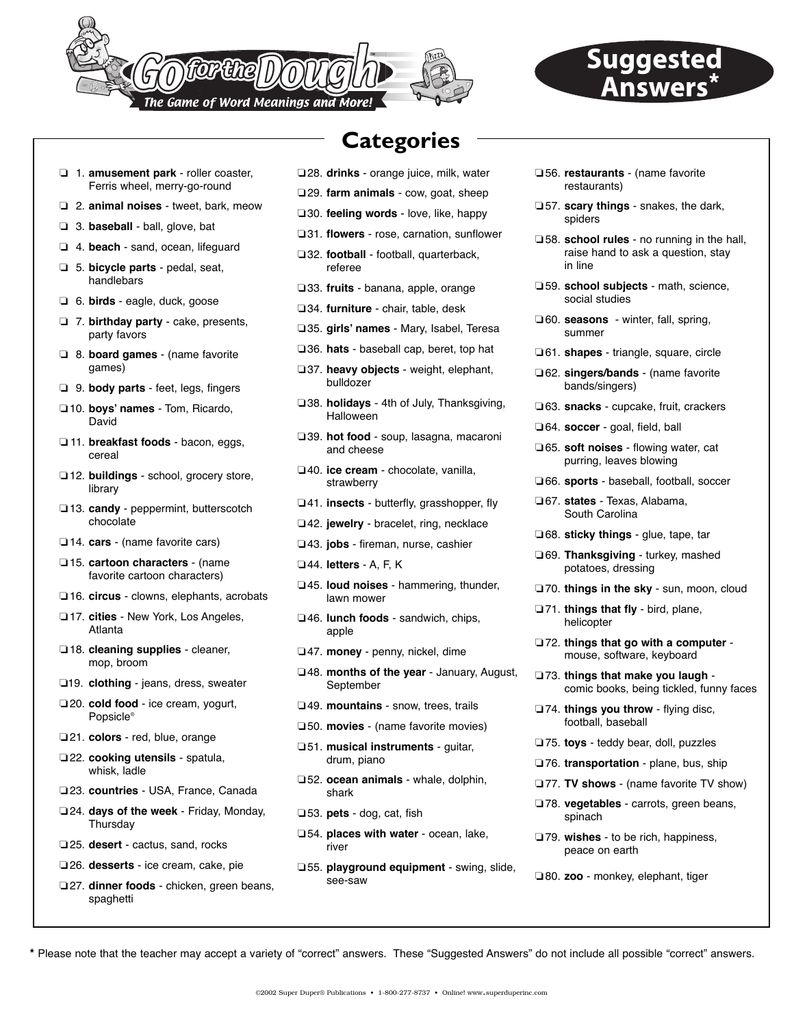

# **Suggested**

- ❏ 1. **amusement park** roller coaster, Ferris wheel, merry-go-round
- ❏ 2. **animal noises** tweet, bark, meow
- ❏ 3. **baseball** ball, glove, bat
- ❏ 4. **beach** sand, ocean, lifeguard
- ❏ 5. **bicycle parts** pedal, seat, handlebars
- ❏ 6. **birds** eagle, duck, goose
- ❏ 7. **birthday party** cake, presents, party favors
- ❏ 8. **board games** (name favorite games)
- ❏ 9. **body parts**  feet, legs, fingers
- ❏10. **boys' names** Tom, Ricardo, David
- ❏ 11. **breakfast foods** bacon, eggs, cereal
- ❏12. **buildings** school, grocery store, library
- ❏13. **candy** peppermint, butterscotch chocolate
- ❏14. **cars** (name favorite cars)
- ❏15. **cartoon characters** (name favorite cartoon characters)
- ❏16. **circus** clowns, elephants, acrobats
- ❏17. **cities** New York, Los Angeles, Atlanta
- ❏18. **cleaning supplies** cleaner, mop, broom
- ❏19. **clothing** jeans, dress, sweater
- ❏20. **cold food** ice cream, yogurt, Popsicle®
- ❏21. **colors** red, blue, orange
- ❏22. **cooking utensils** spatula, whisk, ladle
- ❏23. **countries** USA, France, Canada
- ❏24. **days of the week** Friday, Monday, Thursday
- ❏25. **desert** cactus, sand, rocks
- ❏26. **desserts** ice cream, cake, pie
- ❏27. **dinner foods** chicken, green beans, spaghetti

## **Categories**

- ❏28. **drinks** orange juice, milk, water
- ❏29. **farm animals** cow, goat, sheep
- ❏30. **feeling words** love, like, happy
- ❏31. **flowers** rose, carnation, sunflower
- ❏32. **football** football, quarterback, referee
- ❏33. **fruits** banana, apple, orange
- ❏34. **furniture** chair, table, desk
- ❏35. **girls' names** Mary, Isabel, Teresa
- ❏36. **hats** baseball cap, beret, top hat
- ❏37. **heavy objects** weight, elephant, bulldozer
- ❏38. **holidays** 4th of July, Thanksgiving, Halloween
- ❏39. **hot food** soup, lasagna, macaroni and cheese
- ❏40. **ice cream** chocolate, vanilla, strawberry
- ❏41. **insects** butterfly, grasshopper, fly
- ❏42. **jewelry** bracelet, ring, necklace
- ❏43. **jobs** fireman, nurse, cashier
- ❏44. **letters** A, F, K
- ❏45. **loud noises** hammering, thunder, lawn mower
- ❏46. **lunch foods** sandwich, chips, apple
- ❏47. **money** penny, nickel, dime
- ❏48. **months of the year** January, August, September
- ❏49. **mountains** snow, trees, trails
- ❏50. **movies** (name favorite movies)
- ❏51. **musical instruments** guitar, drum, piano
- ❏52. **ocean animals** whale, dolphin, shark
- ❏53. **pets** dog, cat, fish
- ❏54. **places with water** ocean, lake, river
- ❏55. **playground equipment** swing, slide, see-saw
- ❏56. **restaurants**  (name favorite restaurants)
- ❏57. **scary things** snakes, the dark, spiders
- ❏58. **school rules** no running in the hall, raise hand to ask a question, stay in line
- ❏59. **school subjects** math, science, social studies
- ❏60. **seasons**  winter, fall, spring, summer
- ❏61. **shapes** triangle, square, circle
- ❏62. **singers/bands** (name favorite bands/singers)
- ❏63. **snacks** cupcake, fruit, crackers
- ❏64. **soccer** goal, field, ball
- ❏65. **soft noises** flowing water, cat purring, leaves blowing
- ❏66. **sports** baseball, football, soccer
- ❏67. **states** Texas, Alabama, South Carolina
- ❏68. **sticky things** glue, tape, tar
- ❏69. **Thanksgiving** turkey, mashed potatoes, dressing
- ❏70. **things in the sky** sun, moon, cloud
- ❏71. **things that fly** bird, plane, helicopter
- ❏72. **things that go with a computer**  mouse, software, keyboard
- ❏73. **things that make you laugh**  comic books, being tickled, funny faces
- ❏74. **things you throw**  flying disc, football, baseball
- ❏75. **toys**  teddy bear, doll, puzzles
- ❏76. **transportation**  plane, bus, ship
- ❏77. **TV shows**  (name favorite TV show)
- ❏78. **vegetables**  carrots, green beans, spinach
- ❏79. **wishes**  to be rich, happiness, peace on earth
- ❏80. **zoo** monkey, elephant, tiger

**\*** Please note that the teacher may accept a variety of "correct" answers. These "Suggested Answers" do not include all possible "correct" answers.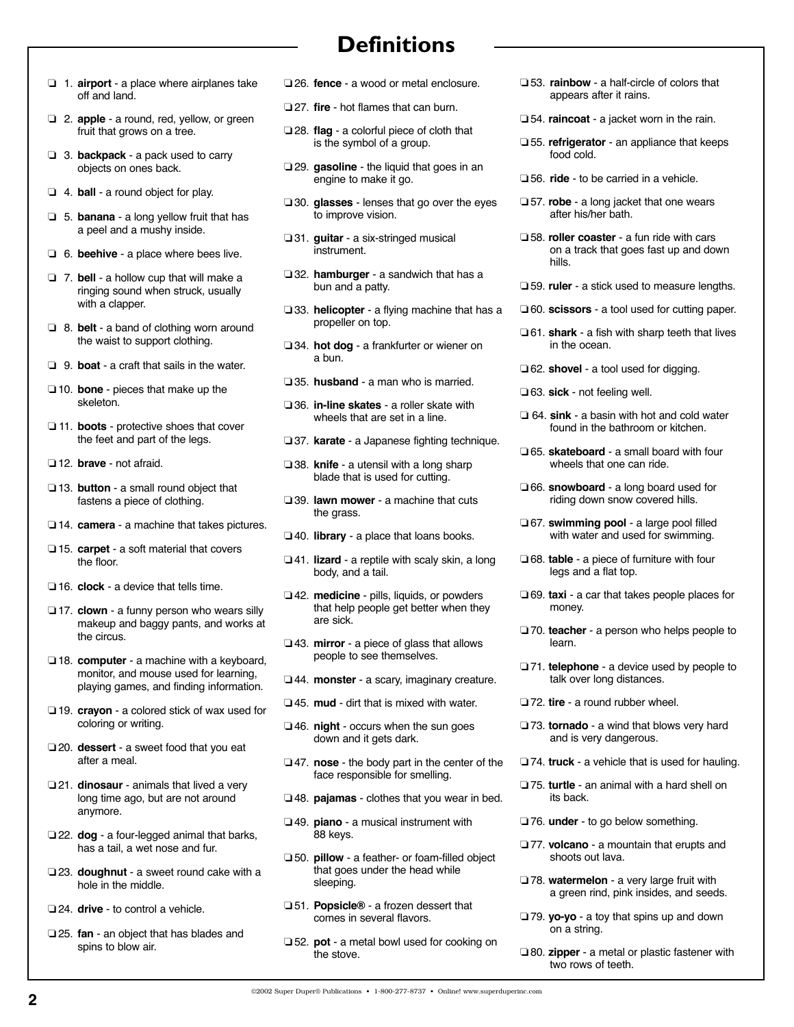- **Definitions**
- ❏ 1. **airport**  a place where airplanes take off and land.
- ❏ 2. **apple**  a round, red, yellow, or green fruit that grows on a tree.
- ❏ 3. **backpack**  a pack used to carry objects on ones back.
- ❏ 4. **ball**  a round object for play.
- ❏ 5. **banana**  a long yellow fruit that has a peel and a mushy inside.
- ❏ 6. **beehive**  a place where bees live.
- ❏ 7. **bell**  a hollow cup that will make a ringing sound when struck, usually with a clapper.
- ❏ 8. **belt**  a band of clothing worn around the waist to support clothing.
- ❏ 9. **boat**  a craft that sails in the water.
- ❏ 10. **bone**  pieces that make up the skeleton.
- ❏ 11. **boots**  protective shoes that cover the feet and part of the legs.
- ❏ 12. **brave**  not afraid.
- ❏ 13. **button**  a small round object that fastens a piece of clothing.
- ❏ 14. **camera**  a machine that takes pictures.
- ❏ 15. **carpet**  a soft material that covers the floor.
- ❏ 16. **clock**  a device that tells time.
- ❏ 17. **clown**  a funny person who wears silly makeup and baggy pants, and works at the circus.
- ❏ 18. **computer**  a machine with a keyboard, monitor, and mouse used for learning, playing games, and finding information.
- ❏ 19. **crayon**  a colored stick of wax used for coloring or writing.
- ❏ 20. **dessert**  a sweet food that you eat after a meal.
- ❏ 21. **dinosaur**  animals that lived a very long time ago, but are not around anymore.
- ❏ 22. **dog**  a four-legged animal that barks, has a tail, a wet nose and fur.
- ❏ 23. **doughnut**  a sweet round cake with a hole in the middle.
- ❏ 24. **drive**  to control a vehicle.
- ❏ 25. **fan**  an object that has blades and spins to blow air.
- ❏ 26. **fence**  a wood or metal enclosure.
- ❏ 27. **fire**  hot flames that can burn.
- ❏ 28. **flag**  a colorful piece of cloth that is the symbol of a group.
- ❏ 29. **gasoline**  the liquid that goes in an engine to make it go.
- ❏ 30. **glasses**  lenses that go over the eyes to improve vision.
- ❏ 31. **guitar**  a six-stringed musical instrument.
- ❏ 32. **hamburger**  a sandwich that has a bun and a patty.
- ❏ 33. **helicopter**  a flying machine that has a propeller on top.
- ❏ 34. **hot dog**  a frankfurter or wiener on a bun.
- ❏ 35. **husband**  a man who is married.
- ❏ 36. **in-line skates**  a roller skate with wheels that are set in a line.
- ❏ 37. **karate**  a Japanese fighting technique.
- ❏ 38. **knife**  a utensil with a long sharp blade that is used for cutting.
- ❏ 39. **lawn mower**  a machine that cuts the grass.
- ❏ 40. **library**  a place that loans books.
- ❏ 41. **lizard**  a reptile with scaly skin, a long body, and a tail.
- ❏ 42. **medicine**  pills, liquids, or powders that help people get better when they are sick.
- ❏ 43. **mirror**  a piece of glass that allows people to see themselves.
- ❏ 44. **monster**  a scary, imaginary creature.
- ❏ 45. **mud**  dirt that is mixed with water.
- ❏ 46. **night**  occurs when the sun goes down and it gets dark.
- ❏ 47. **nose**  the body part in the center of the face responsible for smelling.
- ❏ 48. **pajamas**  clothes that you wear in bed.
- ❏ 49. **piano**  a musical instrument with 88 keys.
- ❏ 50. **pillow**  a feather- or foam-filled object that goes under the head while sleeping.
- ❏ 51. **Popsicle®** a frozen dessert that comes in several flavors.
- ❏ 52. **pot**  a metal bowl used for cooking on the stove.
- ❏ 53. **rainbow**  a half-circle of colors that appears after it rains.
- ❏ 54. **raincoat**  a jacket worn in the rain.
- ❏ 55. **refrigerator**  an appliance that keeps food cold.
- ❏ 56. **ride**  to be carried in a vehicle.
- ❏ 57. **robe**  a long jacket that one wears after his/her bath.
- ❏ 58. **roller coaster**  a fun ride with cars on a track that goes fast up and down hills.
- ❏ 59. **ruler**  a stick used to measure lengths.
- ❏ 60. **scissors**  a tool used for cutting paper.
- ❏ 61. **shark**  a fish with sharp teeth that lives in the ocean.
- ❏ 62. **shovel**  a tool used for digging.
- ❏ 63. **sick**  not feeling well.
- ❏ 64. **sink**  a basin with hot and cold water found in the bathroom or kitchen.
- ❏ 65. **skateboard**  a small board with four wheels that one can ride.
- ❏ 66. **snowboard**  a long board used for riding down snow covered hills.
- ❏ 67. **swimming pool**  a large pool filled with water and used for swimming.
- ❏ 68. **table**  a piece of furniture with four legs and a flat top.
- ❏ 69. **taxi**  a car that takes people places for money.
- ❏ 70. **teacher**  a person who helps people to learn.
- ❏ 71. **telephone**  a device used by people to talk over long distances.
- ❏ 72. **tire**  a round rubber wheel.
- ❏ 73. **tornado**  a wind that blows very hard and is very dangerous.
- ❏ 74. **truck**  a vehicle that is used for hauling.
- ❏ 75. **turtle** an animal with a hard shell on its back.
- ❏ 76. **under**  to go below something.
- ❏ 77. **volcano**  a mountain that erupts and shoots out lava.
- ❏ 78. **watermelon**  a very large fruit with a green rind, pink insides, and seeds.
- ❏ 79. **yo-yo** a toy that spins up and down on a string.
- ❏ 80. **zipper**  a metal or plastic fastener with two rows of teeth.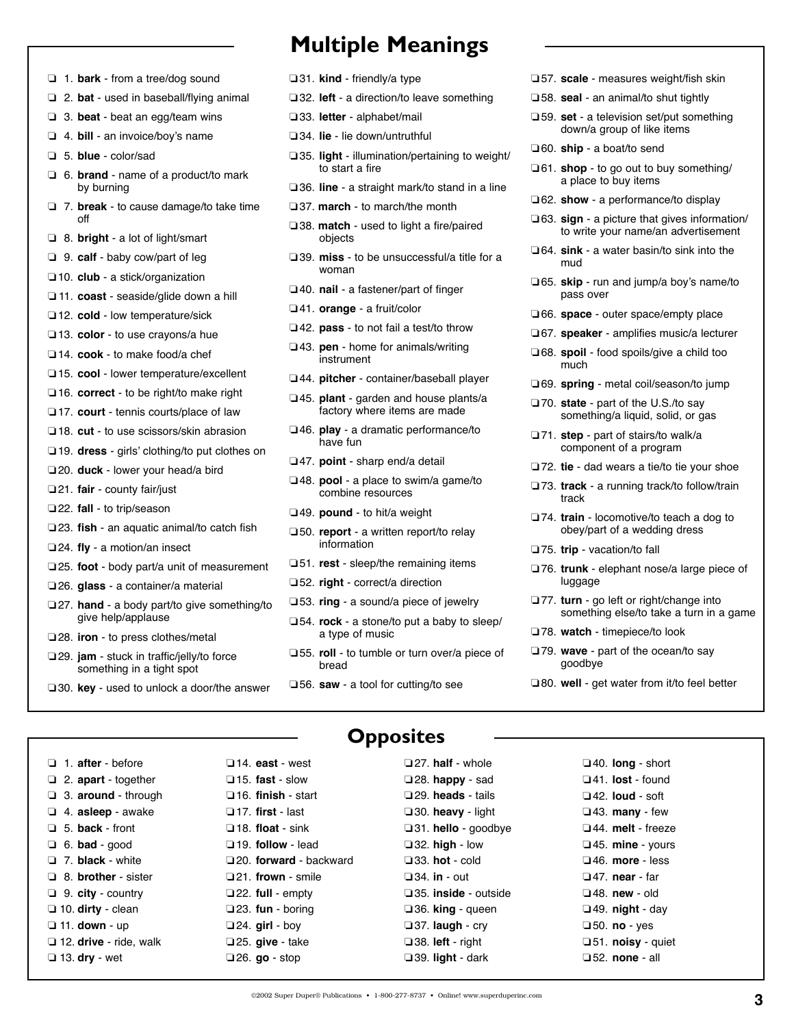- ❏ 1. **bark**  from a tree/dog sound
- ❏ 2. **bat**  used in baseball/flying animal
- ❏ 3. **beat**  beat an egg/team wins
- ❏ 4. **bill**  an invoice/boy's name
- ❏ 5. **blue**  color/sad
- ❏ 6. **brand**  name of a product/to mark by burning
- ❏ 7. **break**  to cause damage/to take time off
- ❏ 8. **bright**  a lot of light/smart
- ❏ 9. **calf**  baby cow/part of leg
- ❏10. **club**  a stick/organization
- ❏ 11. **coast**  seaside/glide down a hill
- ❏12. **cold**  low temperature/sick
- ❏13. **color**  to use crayons/a hue
- ❏14. **cook**  to make food/a chef
- ❏15. **cool**  lower temperature/excellent
- ❏16. **correct**  to be right/to make right
- ❏17. **court**  tennis courts/place of law
- ❏18. **cut**  to use scissors/skin abrasion
- ❏19. **dress**  girls' clothing/to put clothes on
- ❏20. **duck**  lower your head/a bird
- ❏21. **fair**  county fair/just
- ❏22. **fall**  to trip/season
- ❏23. **fish**  an aquatic animal/to catch fish
- ❏24. **fly**  a motion/an insect
- ❏25. **foot**  body part/a unit of measurement
- ❏26. **glass**  a container/a material
- ❏27. **hand**  a body part/to give something/to give help/applause
- ❏28. **iron**  to press clothes/metal
- ❏29. **jam**  stuck in traffic/jelly/to force something in a tight spot
- ❏30. **key**  used to unlock a door/the answer

❏14. **east** - west ❏15. **fast** - slow ❏16. **finish** - start ❏17. **first** - last ❏18. **float** - sink ❏19. **follow** - lead

❏21. **frown** - smile ❏22. **full** - empty ❏23. **fun** - boring ❏24. **girl** - boy ❏25. **give** - take ❏26. **go** - stop

## **Multiple Meanings**

- ❏31. **kind**  friendly/a type
- ❏32. **left**  a direction/to leave something
- ❏33. **letter**  alphabet/mail
- ❏34. **lie**  lie down/untruthful
- ❏35. **light**  illumination/pertaining to weight/ to start a fire
- ❏36. **line**  a straight mark/to stand in a line
- ❏37. **march**  to march/the month
- ❏38. **match**  used to light a fire/paired objects
- ❏39. **miss**  to be unsuccessful/a title for a woman
- ❏40. **nail**  a fastener/part of finger
- ❏41. **orange**  a fruit/color
- ❏42. **pass**  to not fail a test/to throw
- ❏43. **pen**  home for animals/writing instrument
- ❏44. **pitcher**  container/baseball player
- ❏45. **plant**  garden and house plants/a factory where items are made
- ❏46. **play**  a dramatic performance/to have fun
- ❏47. **point**  sharp end/a detail
- ❏48. **pool**  a place to swim/a game/to combine resources
- ❏49. **pound**  to hit/a weight
- ❏50. **report**  a written report/to relay information
- ❏51. **rest**  sleep/the remaining items
- ❏52. **right**  correct/a direction
- ❏53. **ring**  a sound/a piece of jewelry
- ❏54. **rock**  a stone/to put a baby to sleep/ a type of music
- ❏55. **roll**  to tumble or turn over/a piece of bread
- ❏56. **saw**  a tool for cutting/to see
- ❏57. **scale**  measures weight/fish skin
- ❏58. **seal**  an animal/to shut tightly
- ❏59. **set**  a television set/put something down/a group of like items
- ❏60. **ship**  a boat/to send
- ❏61. **shop**  to go out to buy something/ a place to buy items
- ❏62. **show**  a performance/to display
- ❏63. **sign**  a picture that gives information/ to write your name/an advertisement
- ❏64. **sink**  a water basin/to sink into the mud
- ❏65. **skip**  run and jump/a boy's name/to pass over
- ❏66. **space**  outer space/empty place
- ❏67. **speaker**  amplifies music/a lecturer
- ❏68. **spoil**  food spoils/give a child too much
- ❏69. **spring**  metal coil/season/to jump
- ❏70. **state**  part of the U.S./to say something/a liquid, solid, or gas
- ❏71. **step**  part of stairs/to walk/a component of a program
- ❏72. **tie**  dad wears a tie/to tie your shoe
- ❏73. **track**  a running track/to follow/train track
- ❏74. **train**  locomotive/to teach a dog to obey/part of a wedding dress
- ❏75. **trip**  vacation/to fall
- ❏76. **trunk**  elephant nose/a large piece of luggage
- ❏77. **turn**  go left or right/change into something else/to take a turn in a game
- ❏78. **watch**  timepiece/to look
- ❏79. **wave**  part of the ocean/to say goodbye
- ❏80. **well**  get water from it/to feel better

❏ 1. **after** - before ❏ 2. **apart** - together ❏ 3. **around** - through ❏ 4. **asleep** - awake ❏ 5. **back** - front ❏ 6. **bad** - good ❏ 7. **black** - white ❏ 8. **brother** - sister ❏ 9. **city** - country ❏ 10. **dirty** - clean ❏ 11. **down** - up ❏ 12. **drive** - ride, walk ❏ 13. **dry** - wet

#### **Opposites**

❏20. **forward** - backward ❏27. **half** - whole ❏28. **happy** - sad ❏29. **heads** - tails ❏30. **heavy** - light ❏31. **hello** - goodbye ❏32. **high** - low ❏33. **hot** - cold ❏34. **in** - out ❏35. **inside** - outside ❏36. **king** - queen ❏37. **laugh** - cry ❏38. **left** - right ❏39. **light** - dark

❏40. **long** - short ❏41. **lost** - found ❏42. **loud** - soft ❏43. **many** - few ❏44. **melt** - freeze ❏45. **mine** - yours ❏46. **more** - less ❏47. **near** - far ❏48. **new** - old ❏49. **night** - day ❏50. **no** - yes ❏51. **noisy** - quiet ❏52. **none** - all